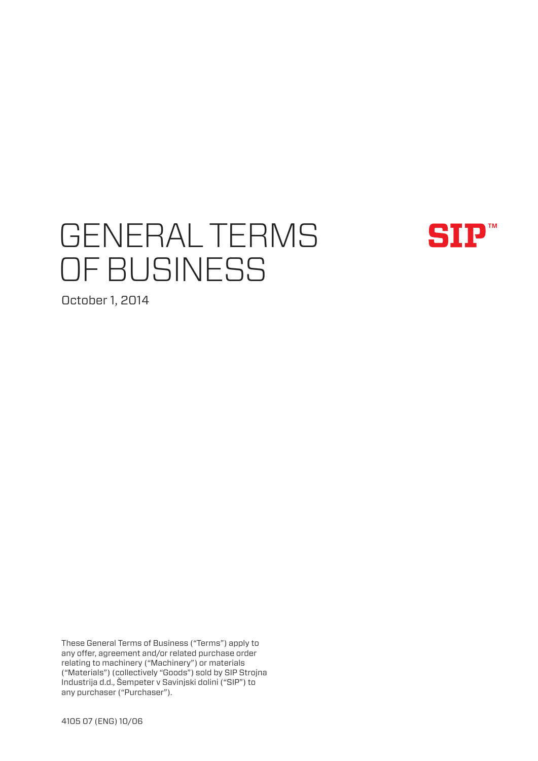# GENERAL TERMS OF BUSINESS



October 1, 2014

These General Terms of Business ("Terms") apply to any offer, agreement and/or related purchase order relating to machinery ("Machinery") or materials ("Materials") (collectively "Goods") sold by SIP Strojna Industrija d.d., Šempeter v Savinjski dolini ("SIP") to any purchaser ("Purchaser").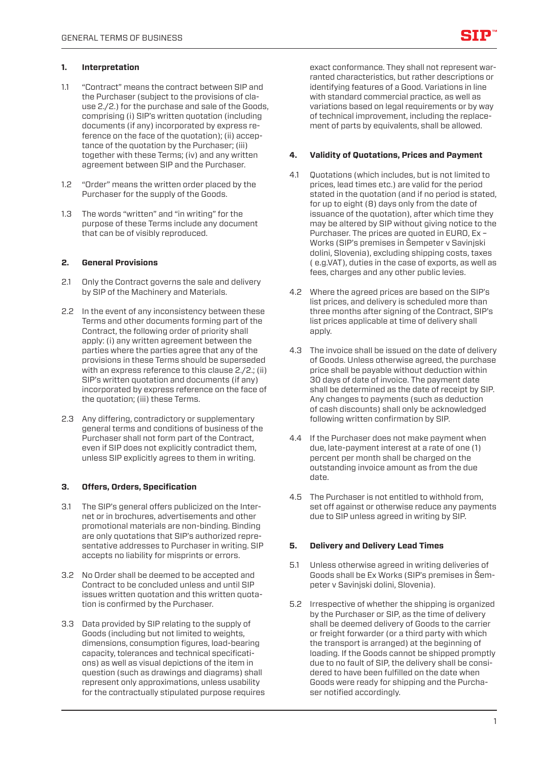# **1. Interpretation**

- 1.1 "Contract" means the contract between SIP and the Purchaser (subject to the provisions of clause 2./2.) for the purchase and sale of the Goods, comprising (i) SIP's written quotation (including documents (if any) incorporated by express reference on the face of the quotation); (ii) acceptance of the quotation by the Purchaser; (iii) together with these Terms; (iv) and any written agreement between SIP and the Purchaser.
- 1.2 "Order" means the written order placed by the Purchaser for the supply of the Goods.
- 1.3 The words "written" and "in writing" for the purpose of these Terms include any document that can be of visibly reproduced.

# **2. General Provisions**

- 2.1 Only the Contract governs the sale and delivery by SIP of the Machinery and Materials.
- 2.2 In the event of any inconsistency between these Terms and other documents forming part of the Contract, the following order of priority shall apply: (i) any written agreement between the parties where the parties agree that any of the provisions in these Terms should be superseded with an express reference to this clause 2./2.; (ii) SIP's written quotation and documents (if any) incorporated by express reference on the face of the quotation; (iii) these Terms.
- 2.3 Any differing, contradictory or supplementary general terms and conditions of business of the Purchaser shall not form part of the Contract, even if SIP does not explicitly contradict them, unless SIP explicitly agrees to them in writing.

### **3. Offers, Orders, Specification**

- 3.1 The SIP's general offers publicized on the Internet or in brochures, advertisements and other promotional materials are non-binding. Binding are only quotations that SIP's authorized representative addresses to Purchaser in writing. SIP accepts no liability for misprints or errors.
- 3.2 No Order shall be deemed to be accepted and Contract to be concluded unless and until SIP issues written quotation and this written quotation is confirmed by the Purchaser.
- 3.3 Data provided by SIP relating to the supply of Goods (including but not limited to weights, dimensions, consumption figures, load-bearing capacity, tolerances and technical specifications) as well as visual depictions of the item in question (such as drawings and diagrams) shall represent only approximations, unless usability for the contractually stipulated purpose requires

exact conformance. They shall not represent warranted characteristics, but rather descriptions or identifying features of a Good. Variations in line with standard commercial practice, as well as variations based on legal requirements or by way of technical improvement, including the replacement of parts by equivalents, shall be allowed.

# **4. Validity of Quotations, Prices and Payment**

- 4.1 Quotations (which includes, but is not limited to prices, lead times etc.) are valid for the period stated in the quotation (and if no period is stated, for up to eight (8) days only from the date of issuance of the quotation), after which time they may be altered by SIP without giving notice to the Purchaser. The prices are quoted in EURO, Ex – Works (SIP's premises in Šempeter v Savinjski dolini, Slovenia), excluding shipping costs, taxes ( e.g.VAT), duties in the case of exports, as well as fees, charges and any other public levies.
- 4.2 Where the agreed prices are based on the SIP's list prices, and delivery is scheduled more than three months after signing of the Contract, SIP's list prices applicable at time of delivery shall apply.
- 4.3 The invoice shall be issued on the date of delivery of Goods. Unless otherwise agreed, the purchase price shall be payable without deduction within 30 days of date of invoice. The payment date shall be determined as the date of receipt by SIP. Any changes to payments (such as deduction of cash discounts) shall only be acknowledged following written confirmation by SIP.
- 4.4 If the Purchaser does not make payment when due, late-payment interest at a rate of one (1) percent per month shall be charged on the outstanding invoice amount as from the due date.
- 4.5 The Purchaser is not entitled to withhold from, set off against or otherwise reduce any payments due to SIP unless agreed in writing by SIP.

### **5. Delivery and Delivery Lead Times**

- 5.1 Unless otherwise agreed in writing deliveries of Goods shall be Ex Works (SIP's premises in Šempeter v Savinjski dolini, Slovenia).
- 5.2 Irrespective of whether the shipping is organized by the Purchaser or SIP, as the time of delivery shall be deemed delivery of Goods to the carrier or freight forwarder (or a third party with which the transport is arranged) at the beginning of loading. If the Goods cannot be shipped promptly due to no fault of SIP, the delivery shall be considered to have been fulfilled on the date when Goods were ready for shipping and the Purchaser notified accordingly.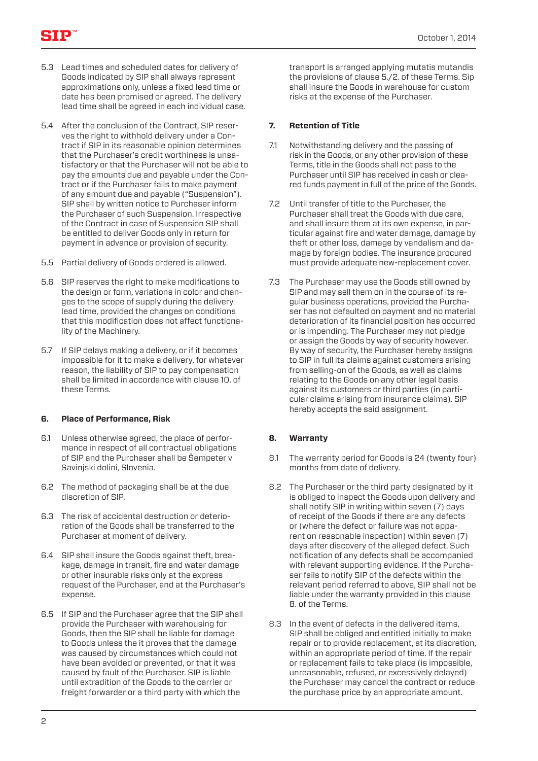- 5.3 Lead times and scheduled dates for delivery of Goods indicated by SIP shall always represent approximations only, unless a fixed lead time or date has been promised or agreed. The delivery lead time shall be agreed in each individual case.
- 5.4 After the conclusion of the Contract, SIP reserves the right to withhold delivery under a Contract if SIP in its reasonable opinion determines that the Purchaser's credit worthiness is unsatisfactory or that the Purchaser will not be able to pay the amounts due and payable under the Contract or if the Purchaser fails to make payment of any amount due and payable ("Suspension"). SIP shall by written notice to Purchaser inform the Purchaser of such Suspension. Irrespective of the Contract in case of Suspension SIP shall be entitled to deliver Goods only in return for payment in advance or provision of security.
- 5.5 Partial delivery of Goods ordered is allowed.
- 5.6 SIP reserves the right to make modifications to the design or form, variations in color and changes to the scope of supply during the delivery lead time, provided the changes on conditions that this modification does not affect functionality of the Machinery.
- 5.7 If SIP delays making a delivery, or if it becomes impossible for it to make a delivery, for whatever reason, the liability of SIP to pay compensation shall be limited in accordance with clause 10. of these Terms.

# **6. Place of Performance, Risk**

- 6.1 Unless otherwise agreed, the place of performance in respect of all contractual obligations of SIP and the Purchaser shall be Šempeter v Savinjski dolini, Slovenia.
- 6.2 The method of packaging shall be at the due discretion of SIP.
- 6.3 The risk of accidental destruction or deterioration of the Goods shall be transferred to the Purchaser at moment of delivery.
- 6.4 SIP shall insure the Goods against theft, breakage, damage in transit, fire and water damage or other insurable risks only at the express request of the Purchaser, and at the Purchaser's expense.
- 6.5 If SIP and the Purchaser agree that the SIP shall provide the Purchaser with warehousing for Goods, then the SIP shall be liable for damage to Goods unless the it proves that the damage was caused by circumstances which could not have been avoided or prevented, or that it was caused by fault of the Purchaser. SIP is liable until extradition of the Goods to the carrier or freight forwarder or a third party with which the

transport is arranged applying mutatis mutandis the provisions of clause 5./2. of these Terms. Sip shall insure the Goods in warehouse for custom risks at the expense of the Purchaser.

# **7. Retention of Title**

- 7.1 Notwithstanding delivery and the passing of risk in the Goods, or any other provision of these Terms, title in the Goods shall not pass to the Purchaser until SIP has received in cash or cleared funds payment in full of the price of the Goods.
- 7.2 Until transfer of title to the Purchaser, the Purchaser shall treat the Goods with due care, and shall insure them at its own expense, in particular against fire and water damage, damage by theft or other loss, damage by vandalism and damage by foreign bodies. The insurance procured must provide adequate new-replacement cover.
- 7.3 The Purchaser may use the Goods still owned by SIP and may sell them on in the course of its regular business operations, provided the Purchaser has not defaulted on payment and no material deterioration of its financial position has occurred or is impending. The Purchaser may not pledge or assign the Goods by way of security however. By way of security, the Purchaser hereby assigns to SIP in full its claims against customers arising from selling-on of the Goods, as well as claims relating to the Goods on any other legal basis against its customers or third parties (in particular claims arising from insurance claims). SIP hereby accepts the said assignment.

# **8. Warranty**

- 8.1 The warranty period for Goods is 24 (twenty four) months from date of delivery.
- 8.2 The Purchaser or the third party designated by it is obliged to inspect the Goods upon delivery and shall notify SIP in writing within seven (7) days of receipt of the Goods if there are any defects or (where the defect or failure was not apparent on reasonable inspection) within seven (7) days after discovery of the alleged defect. Such notification of any defects shall be accompanied with relevant supporting evidence. If the Purchaser fails to notify SIP of the defects within the relevant period referred to above, SIP shall not be liable under the warranty provided in this clause 8. of the Terms.
- 8.3 In the event of defects in the delivered items, SIP shall be obliged and entitled initially to make repair or to provide replacement, at its discretion, within an appropriate period of time. If the repair or replacement fails to take place (is impossible, unreasonable, refused, or excessively delayed) the Purchaser may cancel the contract or reduce the purchase price by an appropriate amount.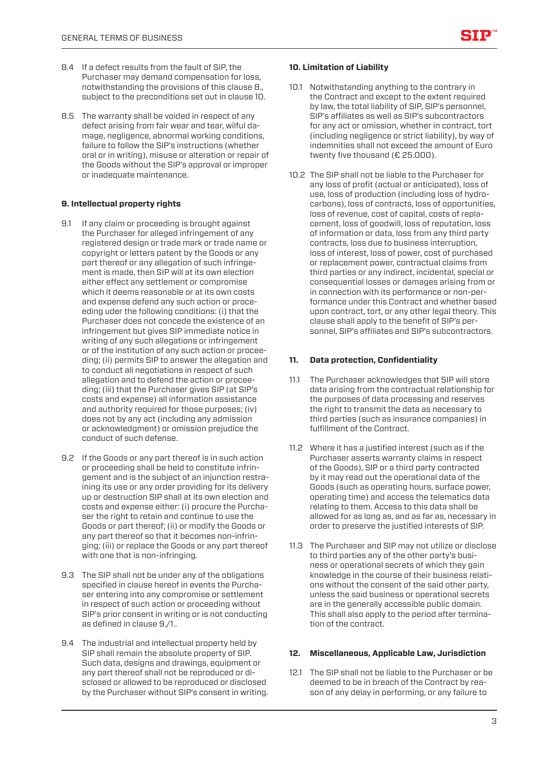- 8.4 If a defect results from the fault of SIP, the Purchaser may demand compensation for loss, notwithstanding the provisions of this clause 8., subject to the preconditions set out in clause 10.
- 8.5 The warranty shall be voided in respect of any defect arising from fair wear and tear, wilful damage, negligence, abnormal working conditions, failure to follow the SIP's instructions (whether oral or in writing), misuse or alteration or repair of the Goods without the SIP's approval or improper or inadequate maintenance.

# **9. Intellectual property rights**

- 9.1 If any claim or proceeding is brought against the Purchaser for alleged infringement of any registered design or trade mark or trade name or copyright or letters patent by the Goods or any part thereof or any allegation of such infringement is made, then SIP will at its own election either effect any settlement or compromise which it deems reasonable or at its own costs and expense defend any such action or proceeding uder the following conditions: (i) that the Purchaser does not concede the existence of an infringement but gives SIP immediate notice in writing of any such allegations or infringement or of the institution of any such action or proceeding; (ii) permits SIP to answer the allegation and to conduct all negotiations in respect of such allegation and to defend the action or proceeding; (iii) that the Purchaser gives SIP (at SIP's costs and expense) all information assistance and authority required for those purposes; (iv) does not by any act (including any admission or acknowledgment) or omission prejudice the conduct of such defense.
- 9.2 If the Goods or any part thereof is in such action or proceeding shall be held to constitute infringement and is the subject of an injunction restraining its use or any order providing for its delivery up or destruction SIP shall at its own election and costs and expense either: (i) procure the Purchaser the right to retain and continue to use the Goods or part thereof; (ii) or modify the Goods or any part thereof so that it becomes non-infringing; (iii) or replace the Goods or any part thereof with one that is non-infringing.
- 9.3 The SIP shall not be under any of the obligations specified in clause hereof in events the Purchaser entering into any compromise or settlement in respect of such action or proceeding without SIP's prior consent in writing or is not conducting as defined in clause 9./1..
- 9.4 The industrial and intellectual property held by SIP shall remain the absolute property of SIP. Such data, designs and drawings, equipment or any part thereof shall not be reproduced or disclosed or allowed to be reproduced or disclosed by the Purchaser without SIP's consent in writing.

#### **10. Limitation of Liability**

- 10.1 Notwithstanding anything to the contrary in the Contract and except to the extent required by law, the total liability of SIP, SIP's personnel, SIP's affiliates as well as SIP's subcontractors for any act or omission, whether in contract, tort (including negligence or strict liability), by way of indemnities shall not exceed the amount of Euro twenty five thousand (€ 25.000).
- 10.2 The SIP shall not be liable to the Purchaser for any loss of profit (actual or anticipated), loss of use, loss of production (including loss of hydrocarbons), loss of contracts, loss of opportunities, loss of revenue, cost of capital, costs of replacement, loss of goodwill, loss of reputation, loss of information or data, loss from any third party contracts, loss due to business interruption, loss of interest, loss of power, cost of purchased or replacement power, contractual claims from third parties or any indirect, incidental, special or consequential losses or damages arising from or in connection with its performance or non-performance under this Contract and whether based upon contract, tort, or any other legal theory. This clause shall apply to the benefit of SIP's personnel, SIP's affiliates and SIP's subcontractors.

### **11. Data protection, Confidentiality**

- 11.1 The Purchaser acknowledges that SIP will store data arising from the contractual relationship for the purposes of data processing and reserves the right to transmit the data as necessary to third parties (such as insurance companies) in fulfillment of the Contract.
- 11.2 Where it has a justified interest (such as if the Purchaser asserts warranty claims in respect of the Goods), SIP or a third party contracted by it may read out the operational data of the Goods (such as operating hours, surface power, operating time) and access the telematics data relating to them. Access to this data shall be allowed for as long as, and as far as, necessary in order to preserve the justified interests of SIP.
- 11.3 The Purchaser and SIP may not utilize or disclose to third parties any of the other party's business or operational secrets of which they gain knowledge in the course of their business relations without the consent of the said other party, unless the said business or operational secrets are in the generally accessible public domain. This shall also apply to the period after termination of the contract.

### **12. Miscellaneous, Applicable Law, Jurisdiction**

12.1 The SIP shall not be liable to the Purchaser or be deemed to be in breach of the Contract by reason of any delay in performing, or any failure to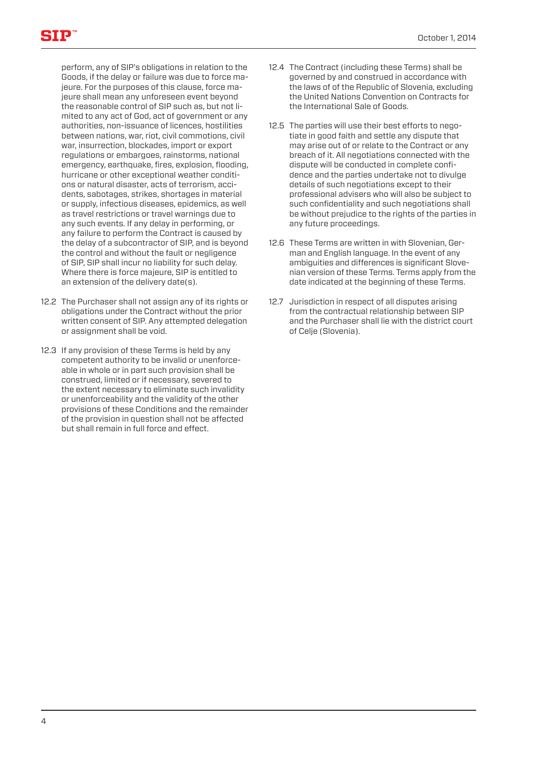perform, any of SIP's obligations in relation to the Goods, if the delay or failure was due to force majeure. For the purposes of this clause, force majeure shall mean any unforeseen event beyond the reasonable control of SIP such as, but not limited to any act of God, act of government or any authorities, non-issuance of licences, hostilities between nations, war, riot, civil commotions, civil war, insurrection, blockades, import or export regulations or embargoes, rainstorms, national emergency, earthquake, fires, explosion, flooding, hurricane or other exceptional weather conditions or natural disaster, acts of terrorism, accidents, sabotages, strikes, shortages in material or supply, infectious diseases, epidemics, as well as travel restrictions or travel warnings due to any such events. If any delay in performing, or any failure to perform the Contract is caused by the delay of a subcontractor of SIP, and is beyond the control and without the fault or negligence of SIP, SIP shall incur no liability for such delay. Where there is force majeure, SIP is entitled to an extension of the delivery date(s).

- 12.2 The Purchaser shall not assign any of its rights or obligations under the Contract without the prior written consent of SIP. Any attempted delegation or assignment shall be void.
- 12.3 If any provision of these Terms is held by any competent authority to be invalid or unenforceable in whole or in part such provision shall be construed, limited or if necessary, severed to the extent necessary to eliminate such invalidity or unenforceability and the validity of the other provisions of these Conditions and the remainder of the provision in question shall not be affected but shall remain in full force and effect.
- 12.4 The Contract (including these Terms) shall be governed by and construed in accordance with the laws of of the Republic of Slovenia, excluding the United Nations Convention on Contracts for the International Sale of Goods.
- 12.5 The parties will use their best efforts to negotiate in good faith and settle any dispute that may arise out of or relate to the Contract or any breach of it. All negotiations connected with the dispute will be conducted in complete confidence and the parties undertake not to divulge details of such negotiations except to their professional advisers who will also be subject to such confidentiality and such negotiations shall be without prejudice to the rights of the parties in any future proceedings.
- 12.6 These Terms are written in with Slovenian, German and English language. In the event of any ambiguities and differences is significant Slovenian version of these Terms. Terms apply from the date indicated at the beginning of these Terms.
- 12.7 Jurisdiction in respect of all disputes arising from the contractual relationship between SIP and the Purchaser shall lie with the district court of Celje (Slovenia).